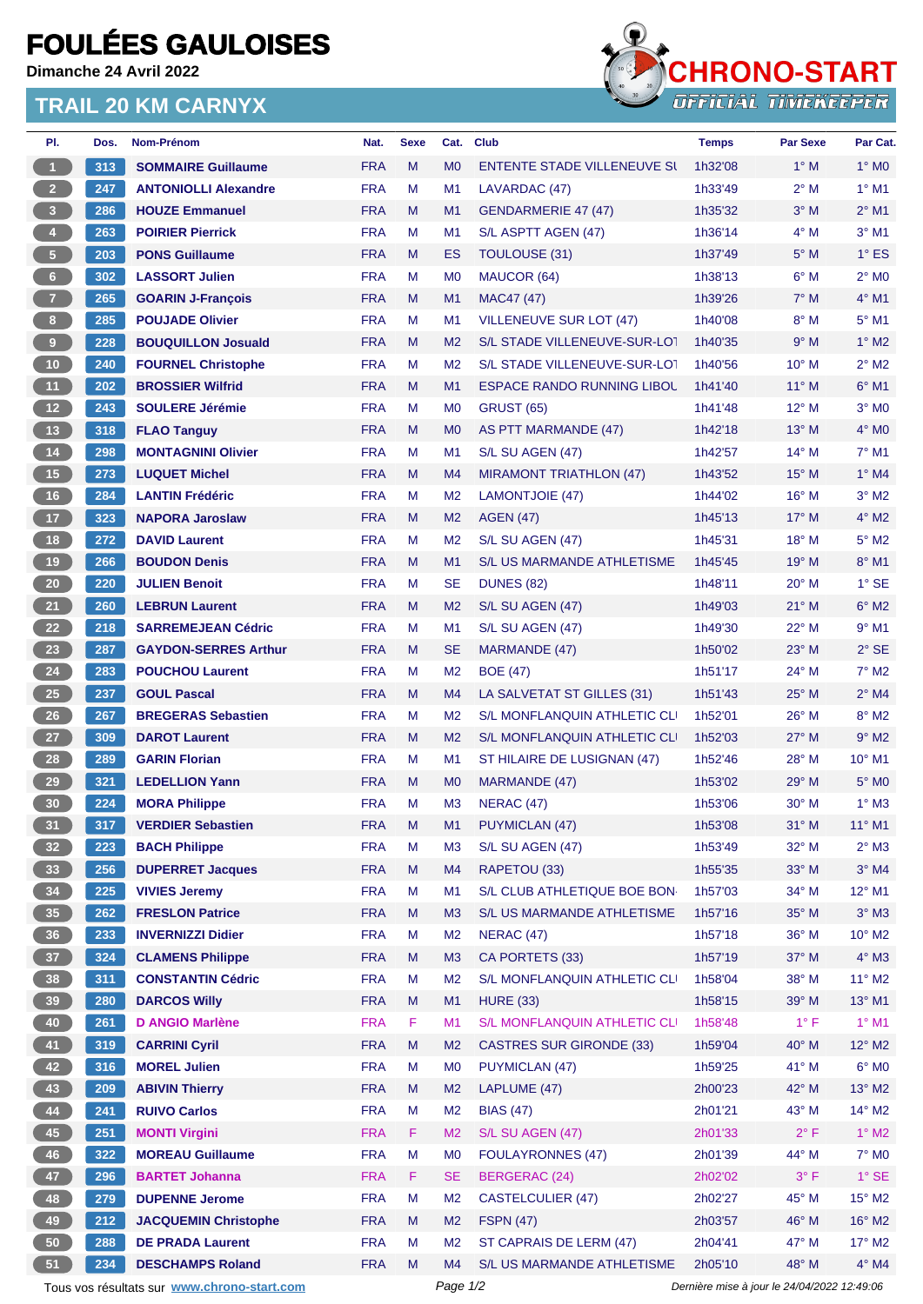## **FOULÉES GAULOISES**

**Dimanche 24 Avril 2022**

## **TRAIL 20 KM CARNYX**



| PI.                     | Dos. | <b>Nom-Prénom</b>                           | Nat.       | <b>Sexe</b> | Cat.           | Club                               | <b>Temps</b> | <b>Par Sexe</b>                             | Par Cat.        |
|-------------------------|------|---------------------------------------------|------------|-------------|----------------|------------------------------------|--------------|---------------------------------------------|-----------------|
| $\mathbf{1}$            | 313  | <b>SOMMAIRE Guillaume</b>                   | <b>FRA</b> | M           | M <sub>0</sub> | <b>ENTENTE STADE VILLENEUVE SI</b> | 1h32'08      | $1^\circ$ M                                 | $1^\circ$ MO    |
| $2^{\circ}$             | 247  | <b>ANTONIOLLI Alexandre</b>                 | <b>FRA</b> | M           | M <sub>1</sub> | LAVARDAC (47)                      | 1h33'49      | $2^{\circ}$ M                               | $1^\circ$ M1    |
| $\overline{\mathbf{3}}$ | 286  | <b>HOUZE Emmanuel</b>                       | <b>FRA</b> | M           | M <sub>1</sub> | GENDARMERIE 47 (47)                | 1h35'32      | $3^\circ$ M                                 | $2^{\circ}$ M1  |
| $\overline{4}$          | 263  | <b>POIRIER Pierrick</b>                     | <b>FRA</b> | M           | M <sub>1</sub> | S/L ASPTT AGEN (47)                | 1h36'14      | $4^\circ$ M                                 | $3°$ M1         |
| 5 <sub>1</sub>          | 203  | <b>PONS Guillaume</b>                       | <b>FRA</b> | M           | ES             | <b>TOULOUSE (31)</b>               | 1h37'49      | $5^\circ$ M                                 | $1^\circ$ ES    |
| $6 -$                   | 302  | <b>LASSORT Julien</b>                       | <b>FRA</b> | M           | M <sub>0</sub> | MAUCOR (64)                        | 1h38'13      | $6^\circ$ M                                 | $2^{\circ}$ MO  |
| $\overline{7}$          | 265  | <b>GOARIN J-François</b>                    | <b>FRA</b> | M           | M1             | MAC47 (47)                         | 1h39'26      | $7^\circ$ M                                 | $4^\circ$ M1    |
| 8                       | 285  | <b>POUJADE Olivier</b>                      | <b>FRA</b> | M           | M1             | <b>VILLENEUVE SUR LOT (47)</b>     | 1h40'08      | $8^\circ$ M                                 | $5^{\circ}$ M1  |
| $\mathbf 9$             | 228  | <b>BOUQUILLON Josuald</b>                   | <b>FRA</b> | M           | M <sub>2</sub> | S/L STADE VILLENEUVE-SUR-LOT       | 1h40'35      | 9° M                                        | $1^\circ$ M2    |
| $10$                    | 240  | <b>FOURNEL Christophe</b>                   | <b>FRA</b> | M           | M <sub>2</sub> | S/L STADE VILLENEUVE-SUR-LOT       | 1h40'56      | $10^{\circ}$ M                              | $2^{\circ}$ M2  |
| 11 <sub>1</sub>         | 202  | <b>BROSSIER Wilfrid</b>                     | <b>FRA</b> | M           | M <sub>1</sub> | ESPACE RANDO RUNNING LIBOL         | 1h41'40      | $11^{\circ}$ M                              | $6^{\circ}$ M1  |
| $12$                    | 243  | <b>SOULERE Jérémie</b>                      | <b>FRA</b> | M           | <b>MO</b>      | <b>GRUST (65)</b>                  | 1h41'48      | $12^{\circ}$ M                              | $3°$ MO         |
| 13                      | 318  | <b>FLAO Tanguy</b>                          | <b>FRA</b> | M           | M <sub>0</sub> | AS PTT MARMANDE (47)               | 1h42'18      | 13° M                                       | $4^\circ$ MO    |
| $14$                    | 298  | <b>MONTAGNINI Olivier</b>                   | <b>FRA</b> | M           | M1             | S/L SU AGEN (47)                   | 1h42'57      | $14^{\circ}$ M                              | $7°$ M1         |
| 15                      | 273  | <b>LUQUET Michel</b>                        | <b>FRA</b> | M           | M4             | <b>MIRAMONT TRIATHLON (47)</b>     | 1h43'52      | $15^{\circ}$ M                              | $1^\circ$ M4    |
| 16                      | 284  | <b>LANTIN Frédéric</b>                      | <b>FRA</b> | M           | M <sub>2</sub> | LAMONTJOIE (47)                    | 1h44'02      | 16° M                                       | $3°$ M2         |
| 17                      | 323  | <b>NAPORA Jaroslaw</b>                      | <b>FRA</b> | M           | M <sub>2</sub> | <b>AGEN (47)</b>                   | 1h45'13      | $17^{\circ}$ M                              | $4^\circ$ M2    |
| 18                      | 272  | <b>DAVID Laurent</b>                        | <b>FRA</b> | M           | M <sub>2</sub> | S/L SU AGEN (47)                   | 1h45'31      | 18° M                                       | $5^\circ$ M2    |
| 19                      | 266  | <b>BOUDON Denis</b>                         | <b>FRA</b> | M           | M <sub>1</sub> | S/L US MARMANDE ATHLETISME         | 1h45'45      | 19° M                                       | $8^\circ$ M1    |
| $20\,$                  | 220  | <b>JULIEN Benoit</b>                        | <b>FRA</b> | M           | SE             | <b>DUNES (82)</b>                  | 1h48'11      | $20^{\circ}$ M                              | $1°$ SE         |
| 21                      | 260  | <b>LEBRUN Laurent</b>                       | <b>FRA</b> | M           | M <sub>2</sub> | S/L SU AGEN (47)                   | 1h49'03      | $21^{\circ}$ M                              | $6^\circ$ M2    |
| 22                      | 218  | <b>SARREMEJEAN Cédric</b>                   | <b>FRA</b> | M           | M <sub>1</sub> | S/L SU AGEN (47)                   | 1h49'30      | 22° M                                       | $9°$ M1         |
| 23                      | 287  | <b>GAYDON-SERRES Arthur</b>                 | <b>FRA</b> | M           | <b>SE</b>      | MARMANDE (47)                      | 1h50'02      | $23^\circ$ M                                | $2°$ SE         |
| 24                      | 283  | <b>POUCHOU Laurent</b>                      | <b>FRA</b> | M           | M <sub>2</sub> | <b>BOE (47)</b>                    | 1h51'17      | 24° M                                       | $7^\circ$ M2    |
| 25                      | 237  | <b>GOUL Pascal</b>                          | <b>FRA</b> | M           | M4             | LA SALVETAT ST GILLES (31)         | 1h51'43      | $25^{\circ}$ M                              | $2^{\circ}$ M4  |
| $26\phantom{.}$         | 267  | <b>BREGERAS Sebastien</b>                   | <b>FRA</b> | M           | M <sub>2</sub> | S/L MONFLANQUIN ATHLETIC CLI       | 1h52'01      | 26° M                                       | $8^\circ$ M2    |
| 27                      | 309  | <b>DAROT Laurent</b>                        | <b>FRA</b> | M           | M <sub>2</sub> | S/L MONFLANQUIN ATHLETIC CLI       | 1h52'03      | 27° M                                       | $9°$ M2         |
| 28                      | 289  | <b>GARIN Florian</b>                        | <b>FRA</b> | M           | M1             | ST HILAIRE DE LUSIGNAN (47)        | 1h52'46      | $28^{\circ}$ M                              | 10° M1          |
| 29                      | 321  | <b>LEDELLION Yann</b>                       | <b>FRA</b> | M           | M <sub>0</sub> | MARMANDE (47)                      | 1h53'02      | $29^\circ$ M                                | $5^\circ$ MO    |
| 30                      | 224  | <b>MORA Philippe</b>                        | <b>FRA</b> | М           | M <sub>3</sub> | NERAC (47)                         | 1h53'06      | $30^{\circ}$ M                              | $1^\circ$ M3    |
| 31                      | 317  | <b>VERDIER Sebastien</b>                    | <b>FRA</b> | M           | M1             | <b>PUYMICLAN (47)</b>              | 1h53'08      | $31^{\circ}$ M                              | $11^{\circ}$ M1 |
| 32 <sub>2</sub>         | 223  | <b>BACH Philippe</b>                        | <b>FRA</b> | M           | M <sub>3</sub> | S/L SU AGEN (47)                   | 1h53'49      | $32^\circ$ M                                | $2^{\circ}$ M3  |
| 33                      | 256  | <b>DUPERRET Jacques</b>                     | <b>FRA</b> | M           | M4             | RAPETOU (33)                       | 1h55'35      | 33° M                                       | $3°$ M4         |
| 34                      | 225  | <b>VIVIES Jeremy</b>                        | <b>FRA</b> | M           | M1             | S/L CLUB ATHLETIQUE BOE BON        | 1h57'03      | 34° M                                       | 12° M1          |
| 35 <sub>5</sub>         | 262  | <b>FRESLON Patrice</b>                      | <b>FRA</b> | M           | M <sub>3</sub> | S/L US MARMANDE ATHLETISME         | 1h57'16      | 35° M                                       | $3^\circ$ M3    |
| 36                      | 233  | <b>INVERNIZZI Didier</b>                    | <b>FRA</b> | M           | M <sub>2</sub> | <b>NERAC (47)</b>                  | 1h57'18      | 36° M                                       | 10° M2          |
| 37 <sup>°</sup>         | 324  | <b>CLAMENS Philippe</b>                     | <b>FRA</b> | M           | M3             | CA PORTETS (33)                    | 1h57'19      | $37^\circ$ M                                | $4^\circ$ M3    |
| 38                      | 311  | <b>CONSTANTIN Cédric</b>                    | <b>FRA</b> | M           | M <sub>2</sub> | S/L MONFLANQUIN ATHLETIC CLI       | 1h58'04      | 38° M                                       | $11^{\circ}$ M2 |
| 39                      | 280  | <b>DARCOS Willy</b>                         | <b>FRA</b> | M           | M1             | <b>HURE (33)</b>                   | 1h58'15      | 39° M                                       | $13^{\circ}$ M1 |
| 40                      | 261  | <b>D ANGIO Marlène</b>                      | <b>FRA</b> | F           | M <sub>1</sub> | S/L MONFLANQUIN ATHLETIC CLI       | 1h58'48      | $1^{\circ}$ F                               | $1^\circ$ M1    |
| 41                      | 319  | <b>CARRINI Cyril</b>                        | <b>FRA</b> | M           | M <sub>2</sub> | <b>CASTRES SUR GIRONDE (33)</b>    | 1h59'04      | 40° M                                       | $12^{\circ}$ M2 |
| 42                      | 316  | <b>MOREL Julien</b>                         | <b>FRA</b> | M           | M <sub>0</sub> | <b>PUYMICLAN (47)</b>              | 1h59'25      | 41° M                                       | $6^{\circ}$ MO  |
| 43                      | 209  | <b>ABIVIN Thierry</b>                       | <b>FRA</b> | M           | M <sub>2</sub> | LAPLUME (47)                       | 2h00'23      | 42° M                                       | $13^\circ$ M2   |
| 44                      | 241  | <b>RUIVO Carlos</b>                         | <b>FRA</b> | M           | M <sub>2</sub> | <b>BIAS (47)</b>                   | 2h01'21      | 43° M                                       | $14^{\circ}$ M2 |
| 45                      | 251  | <b>MONTI Virgini</b>                        | <b>FRA</b> | F           | M <sub>2</sub> | S/L SU AGEN (47)                   | 2h01'33      | $2^{\circ}$ F                               | $1^\circ$ M2    |
| 46                      | 322  | <b>MOREAU Guillaume</b>                     | <b>FRA</b> | M           | M <sub>0</sub> | <b>FOULAYRONNES (47)</b>           | 2h01'39      | 44° M                                       | $7°$ MO         |
| 47                      | 296  | <b>BARTET Johanna</b>                       | <b>FRA</b> | F           | <b>SE</b>      | <b>BERGERAC (24)</b>               | 2h02'02      | $3^{\circ}$ F                               | $1^\circ$ SE    |
| 48                      | 279  | <b>DUPENNE Jerome</b>                       | <b>FRA</b> | M           | M <sub>2</sub> | <b>CASTELCULIER (47)</b>           | 2h02'27      | 45° M                                       | $15^{\circ}$ M2 |
| 49                      | 212  | <b>JACQUEMIN Christophe</b>                 | <b>FRA</b> | M           | M <sub>2</sub> | <b>FSPN (47)</b>                   | 2h03'57      | 46° M                                       | $16^{\circ}$ M2 |
| 50                      | 288  | <b>DE PRADA Laurent</b>                     | <b>FRA</b> | M           | M <sub>2</sub> | ST CAPRAIS DE LERM (47)            | 2h04'41      | 47° M                                       | $17^\circ$ M2   |
| 51                      | 234  | <b>DESCHAMPS Roland</b>                     | <b>FRA</b> | M           | M4             | S/L US MARMANDE ATHLETISME         | 2h05'10      | 48° M                                       | $4^\circ$ M4    |
|                         |      |                                             |            |             | Page 1/2       |                                    |              | Dernière mise à jour le 24/04/2022 12:49:06 |                 |
|                         |      | Tous vos résultats sur www.chrono-start.com |            |             |                |                                    |              |                                             |                 |